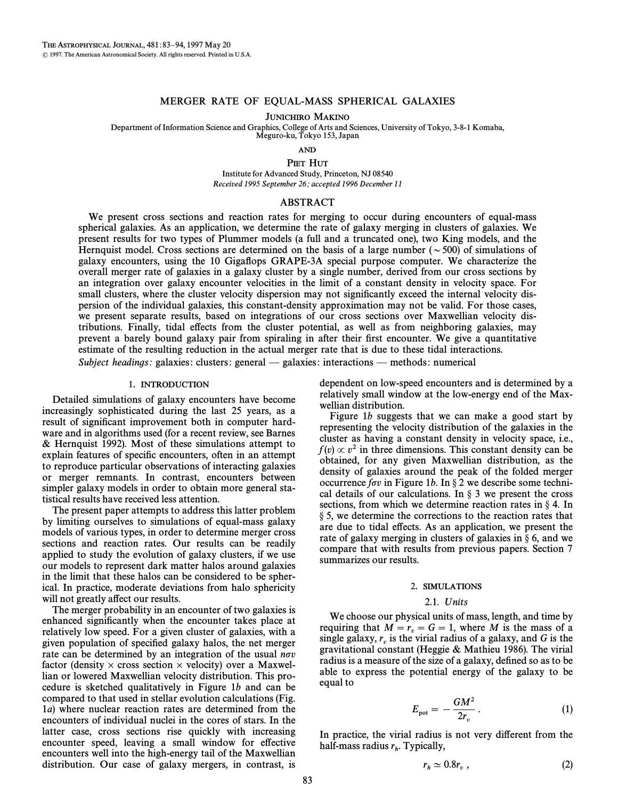## MERGER RATE OF EQUAL-MASS SPHERICAL GALAXIES

JUNICHIRO MAKINO

Department of Information Science and Graphics, College of Arts and Sciences, University of Tokyo, 3-8-1 Komaba, Meguro-ku, Tokyo 153, Japan

AND

PIET HUT

Institute for Advanced Study, Princeton, NJ 08540 Received 1995 September 26; accepted 1996 December 11

## ABSTRACT

We present cross sections and reaction rates for merging to occur during encounters of equal-mass spherical galaxies. As an application, we determine the rate of galaxy merging in clusters of galaxies. We present results for two types of Plummer models (a full and a truncated one), two King models, and the Hernquist model. Cross sections are determined on the basis of a large number ( $\sim$  500) of simulations of galaxy encounters, using the 10 GigaÑops GRAPE-3A special purpose computer. We characterize the overall merger rate of galaxies in a galaxy cluster by a single number, derived from our cross sections by an integration over galaxy encounter velocities in the limit of a constant density in velocity space. For small clusters, where the cluster velocity dispersion may not significantly exceed the internal velocity dispersion of the individual galaxies, this constant-density approximation may not be valid. For those cases, we present separate results, based on integrations of our cross sections over Maxwellian velocity distributions. Finally, tidal e†ects from the cluster potential, as well as from neighboring galaxies, may prevent a barely bound galaxy pair from spiraling in after their first encounter. We give a quantitative estimate of the resulting reduction in the actual merger rate that is due to these tidal interactions. Subject headings: galaxies: clusters: general — galaxies: interactions — methods: numerical

## 1. INTRODUCTION

Detailed simulations of galaxy encounters have become increasingly sophisticated during the last 25 years, as a result of significant improvement both in computer hardware and in algorithms used (for a recent review, see Barnes  $&$  Hernquist 1992). Most of these simulations attempt to explain features of specific encounters, often in an attempt to reproduce particular observations of interacting galaxies or merger remnants. In contrast, encounters between simpler galaxy models in order to obtain more general statistical results have received less attention.

The present paper attempts to address this latter problem by limiting ourselves to simulations of equal-mass galaxy models of various types, in order to determine merger cross sections and reaction rates. Our results can be readily applied to study the evolution of galaxy clusters, if we use our models to represent dark matter halos around galaxies in the limit that these halos can be considered to be spherical. In practice, moderate deviations from halo sphericity will not greatly affect our results.

The merger probability in an encounter of two galaxies is enhanced significantly when the encounter takes place at relatively low speed. For a given cluster of galaxies, with a given population of specified galaxy halos, the net merger rate can be determined by an integration of the usual  $n\sigma v$ factor (density  $\times$  cross section  $\times$  velocity) over a Maxwellian or lowered Maxwellian velocity distribution. This procedure is sketched qualitatively in Figure  $1b$  and can be compared to that used in stellar evolution calculations (Fig. 1a) where nuclear reaction rates are determined from the encounters of individual nuclei in the cores of stars. In the latter case, cross sections rise quickly with increasing encounter speed, leaving a small window for effective encounters well into the high-energy tail of the Maxwellian distribution. Our case of galaxy mergers, in contrast, is dependent on low-speed encounters and is determined by a relatively small window at the low-energy end of the Maxwellian distribution.

Figure 1b suggests that we can make a good start by representing the velocity distribution of the galaxies in the cluster as having a constant density in velocity space, i.e.,  $f(v) \propto v^2$  in three dimensions. This constant density can be obtained, for any given Maxwellian distribution, as the density of galaxies around the peak of the folded merger occurrence for in Figure 1b. In  $\S 2$  we describe some technical details of our calculations. In  $\S$  3 we present the cross sections, from which we determine reaction rates in  $\S$  4. In  $\S$  5, we determine the corrections to the reaction rates that are due to tidal effects. As an application, we present the rate of galaxy merging in clusters of galaxies in  $\S$  6, and we compare that with results from previous papers. Section 7 summarizes our results.

#### 2. SIMULATIONS

# 2.1. Units

We choose our physical units of mass, length, and time by requiring that  $M = r_v = G = 1$ , where M is the mass of a virtual radius of a galaxy and G is the single galaxy,  $r_v$  is the virial radius of a galaxy, and G is the gravitational constant (Heggie & Mathieu 1986). The virial radius is a measure of the size of a galaxy, defined so as to be able to express the potential energy of the galaxy to be equal to

$$
E_{\rm pot} = -\frac{GM^2}{2r_v} \,. \tag{1}
$$

In practice, the virial radius is not very different from the half-mass radius  $r_h$ . Typically,

$$
r_h \simeq 0.8r_v \,, \tag{2}
$$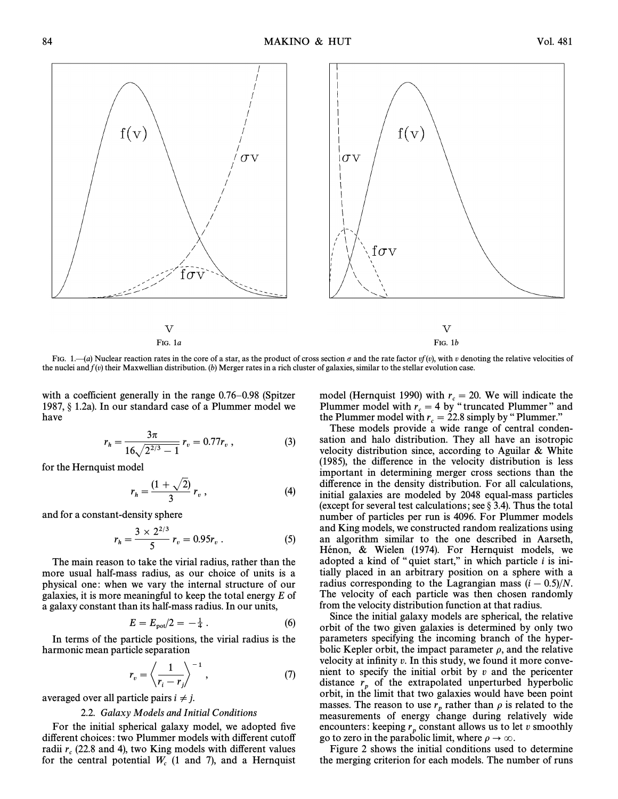

FIG. 1.—(a) Nuclear reaction rates in the core of a star, as the product of cross section  $\sigma$  and the rate factor vf (v), with v denoting the relative velocities of the nuclei and  $f(v)$  their Maxwellian distribution. (b) Merger rates in a rich cluster of galaxies, similar to the stellar evolution case.

with a coefficient generally in the range  $0.76-0.98$  (Spitzer 1987,  $\S$  1.2a). In our standard case of a Plummer model we have

$$
r_h = \frac{3\pi}{16\sqrt{2^{2/3} - 1}} \, r_v = 0.77 r_v \,, \tag{3}
$$

for the Hernquist model

$$
r_h = \frac{(1 + \sqrt{2})}{3} r_v , \qquad (4)
$$

and for a constant-density sphere

$$
r_h = \frac{3 \times 2^{2/3}}{5} r_v = 0.95 r_v . \tag{5}
$$

The main reason to take the virial radius, rather than the more usual half-mass radius, as our choice of units is a physical one: when we vary the internal structure of our galaxies, it is more meaningful to keep the total energy  $E$  of a galaxy constant than its half-mass radius. In our units,

$$
E = E_{\text{pot}}/2 = -\frac{1}{4} \,. \tag{6}
$$

In terms of the particle positions, the virial radius is the harmonic mean particle separation<br> $r_v = \left\langle \frac{1}{1 - \sqrt{1 - \frac{1}{1 - \frac{1}{1 - \frac{1}{1 - \frac{1}{1 - \frac{1}{1 - \frac{1}{1 - \frac{1}{1 - \frac{1}{1 - \frac{1}{1 - \frac{1}{1 - \frac{1}{1 - \frac{1}{1 - \frac{1}{1 - \frac{1}{1 - \frac{1}{1 - \frac{1}{1 - \frac{1}{1 - \frac{1}{1 - \frac{1}{1 - \frac{1}{1 - \frac{1}{1 - \frac{1}{1 - \frac{1}{1 - \frac{1}{1$ 

$$
r_v = \left\langle \frac{1}{r_i - r_j} \right\rangle^{-1}, \tag{7}
$$

averaged over all particle pairs  $i \neq j$ .

#### 2.2. Galaxy Models and Initial Conditions

For the initial spherical galaxy model, we adopted five different choices: two Plummer models with different cutoff radii  $r_c$  (22.8 and 4), two King models with different values for the central potential  $W_c$  (1 and 7), and a Hernquist model (Hernquist 1990) with  $r_c = 20$ . We will indicate the plummer model with  $r_c = 4$  by "truncated Plummer" and Plummer model with  $r_c = 4$  by "truncated Plummer" and the Plummer model with  $r_c = 22.8$  simply by "Plummer."

These models provide a wide range of central condensation and halo distribution. They all have an isotropic velocity distribution since, according to Aguilar  $\&$  White (1985), the difference in the velocity distribution is less important in determining merger cross sections than the difference in the density distribution. For all calculations, initial galaxies are modeled by 2048 equal-mass particles (except for several test calculations; see  $\S$  3.4). Thus the total number of particles per run is 4096. For Plummer models and King models, we constructed random realizations using an algorithm similar to the one described in Aarseth, Hénon, & Wielen (1974). For Hernquist models, we adopted a kind of "quiet start," in which particle  $i$  is initially placed in an arbitrary position on a sphere with a radius corresponding to the Lagrangian mass  $(i - 0.5)/N$ . The velocity of each particle was then chosen randomly from the velocity distribution function at that radius.

Since the initial galaxy models are spherical, the relative orbit of the two given galaxies is determined by only two parameters specifying the incoming branch of the hyperbolic Kepler orbit, the impact parameter  $\rho$ , and the relative velocity at infinity  $v$ . In this study, we found it more convenient to specify the initial orbit by  $v$  and the pericenter distance  $r<sub>n</sub>$  of the extrapolated unperturbed hyperbolic <sup>p</sup> orbit, in the limit that two galaxies would have been point masses. The reason to use  $r_p$  rather than  $\rho$  is related to the measurements of energy change during relatively wide encounters: keeping  $r_p$  constant allows us to let v smoothly go to zero in the parabolic limit, where  $\rho \to \infty$ .

Figure 2 shows the initial conditions used to determine the merging criterion for each models. The number of runs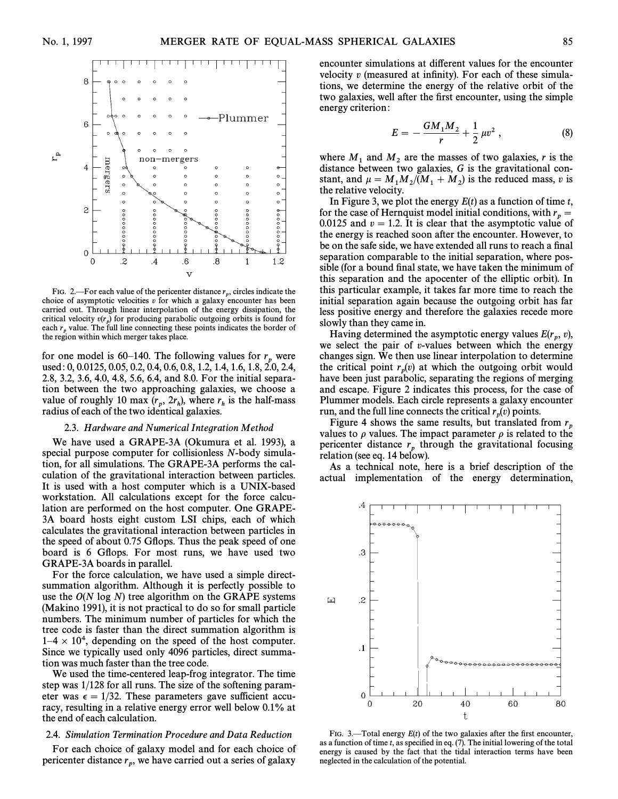

FIG. 2.—For each value of the pericenter distance  $r<sub>p</sub>$ , circles indicate the position 2. The cluster value of the performed instance  $v_p$ , encounter has been choice of asymptotic velocities v for which a galaxy encounter has been carried out. Through linear interpolation of the energy dissipation, the critical velocity  $v(r_n)$  for producing parabolic outgoing orbits is found for each  $r_n$  value. The full line connecting these points indicates the border of the region within which merger takes place.

for one model is 60–140. The following values for  $r_n$  were used: 0, 0.0125, 0.05, 0.2, 0.4, 0.6, 0.8, 1.2, 1.4, 1.6, 1.8, 2.0, 2.4, 2.8, 3.2, 3.6, 4.0, 4.8, 5.6, 6.4, and 8.0. For the initial separation between the two approaching galaxies, we choose a value of roughly 10 max  $(r_n, 2r_h)$ , where  $r_h$  is the half-mass value of roughly to max  $\binom{n}{r}$ ,  $\sum_{h}$ , where  $r_h$  radius of each of the two identical galaxies.

#### 2.3. Hardware and Numerical Integration Method

We have used a GRAPE-3A (Okumura et al. 1993), a special purpose computer for collisionless N-body simulation, for all simulations. The GRAPE-3A performs the calculation of the gravitational interaction between particles. It is used with a host computer which is a UNIX-based workstation. All calculations except for the force calculation are performed on the host computer. One GRAPE-3A board hosts eight custom LSI chips, each of which calculates the gravitational interaction between particles in the speed of about 0.75 GÑops. Thus the peak speed of one board is 6 GÑops. For most runs, we have used two GRAPE-3A boards in parallel.

For the force calculation, we have used a simple directsummation algorithm. Although it is perfectly possible to use the  $O(N \log N)$  tree algorithm on the GRAPE systems (Makino 1991), it is not practical to do so for small particle numbers. The minimum number of particles for which the tree code is faster than the direct summation algorithm is  $1-4 \times 10^4$ , depending on the speed of the host computer. Since we typically used only 4096 particles, direct summation was much faster than the tree code.

We used the time-centered leap-frog integrator. The time step was 1/128 for all runs. The size of the softening parameter was  $\epsilon = 1/32$ . These parameters gave sufficient accuracy, resulting in a relative energy error well below 0.1% at the end of each calculation.

#### 2.4. Simulation Termination Procedure and Data Reduction

For each choice of galaxy model and for each choice of pericenter distance  $r_p$ , we have carried out a series of galaxy

encounter simulations at different values for the encounter velocity  $v$  (measured at infinity). For each of these simulations, we determine the energy of the relative orbit of the two galaxies, well after the first encounter, using the simple energy criterion:

$$
E = -\frac{GM_1M_2}{r} + \frac{1}{2}\,\mu v^2\,,\tag{8}
$$

where  $M_1$  and  $M_2$  are the masses of two galaxies, r is the distance between two galaxies, G is the gravitational constant, and  $\mu = M_1 M_2 / (M_1 + M_2)$  is the reduced mass, v is the relative velocity the relative velocity.

In Figure 3, we plot the energy  $E(t)$  as a function of time t, for the case of Hernquist model initial conditions, with  $r_p =$  $p = 0.0125$  and  $v = 1.2$ . It is clear that the asymptotic value of the energy is reached soon after the encounter. However, to be on the safe side, we have extended all runs to reach a final separation comparable to the initial separation, where possible (for a bound final state, we have taken the minimum of this separation and the apocenter of the elliptic orbit). In this particular example, it takes far more time to reach the initial separation again because the outgoing orbit has far less positive energy and therefore the galaxies recede more slowly than they came in.

Having determined the asymptotic energy values  $E(r_p, v)$ , relect the pair of n-values between which the energy we select the pair of  $v$ -values between which the energy changes sign. We then use linear interpolation to determine the critical point  $r_p(v)$  at which the outgoing orbit would have been just parabolic, separating the regions of merging and escape. Figure 2 indicates this process, for the case of Plummer models. Each circle represents a galaxy encounter run, and the full line connects the critical  $r_p(v)$  points.

Figure 4 shows the same results, but translated from  $r$ values to  $\rho$  values. The impact parameter  $\rho$  is related to the pericenter distance  $r_n$  through the gravitational focusing relation (see eq. 14 below).

As a technical note, here is a brief description of the actual implementation of the energy determination,



FIG. 3.—Total energy  $E(t)$  of the two galaxies after the first encounter, as a function of time t, as specified in eq. (7). The initial lowering of the total energy is caused by the fact that the tidal interaction terms have been neglected in the calculation of the potential.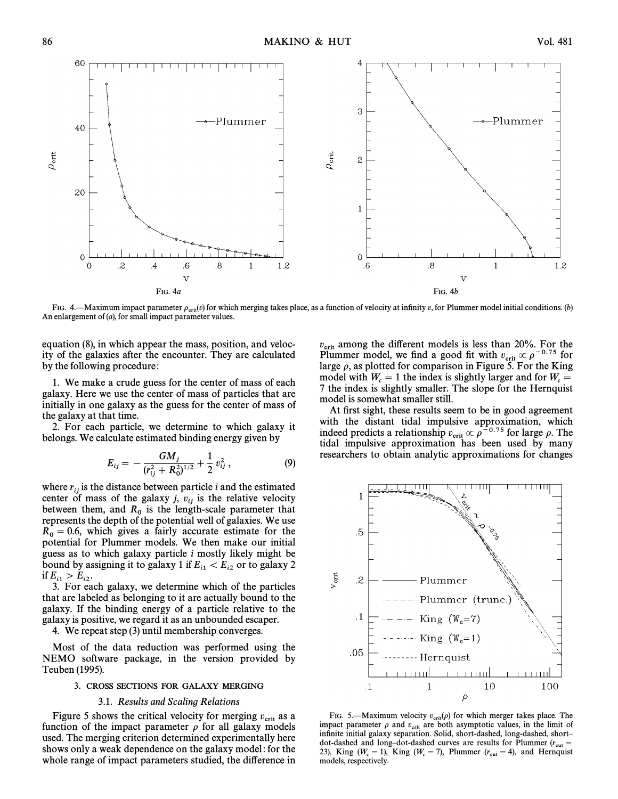

FIG. 4.—Maximum impact parameter  $\rho_{\text{crit}}(v)$  for which merging takes place, as a function of velocity at infinity v, for Plummer model initial conditions. (b) An enlargement of  $(a)$ , for small impact parameter values.

equation (8), in which appear the mass, position, and velocity of the galaxies after the encounter. They are calculated by the following procedure:

1. We make a crude guess for the center of mass of each galaxy. Here we use the center of mass of particles that are initially in one galaxy as the guess for the center of mass of the galaxy at that time.

2. For each particle, we determine to which galaxy it belongs. We calculate estimated binding energy given by

$$
E_{ij} = -\frac{GM_j}{(r_{ij}^2 + R_0^2)^{1/2}} + \frac{1}{2} v_{ij}^2, \qquad (9)
$$

where  $r_{ij}$  is the distance between particle *i* and the estimated center of mass of the galaxy j,  $v_{ij}$  is the relative velocity between them, and  $R_0$  is the length-scale parameter that  $\theta$  is the length-scale parameter that  $\theta$  is the length-scale parameter that represents the depth of the potential well of galaxies. We use  $R_0 = 0.6$ , which gives a fairly accurate estimate for the potential for Plummer models. We then make our initial guess as to which galaxy particle  $i$  mostly likely might be bound by assigning it to galaxy 1 if  $E_{i1} < E_{i2}$  or to galaxy 2 if  $E_{i1} > E_{i2}$ .

3. For each galaxy, we determine which of the particles that are labeled as belonging to it are actually bound to the galaxy. If the binding energy of a particle relative to the galaxy is positive, we regard it as an unbounded escaper.

4. We repeat step (3) until membership converges.

Most of the data reduction was performed using the NEMO software package, in the version provided by Teuben (1995).

## 3. CROSS SECTIONS FOR GALAXY MERGING

## 3.1. Results and Scaling Relations

Figure 5 shows the critical velocity for merging  $v_{\text{crit}}$  as a Figure 5 shows the entired velocity for merging  $v_{\text{crit}}$  as a function of the impact parameter  $\rho$  for all galaxy models used. The merging criterion determined experimentally here shows only a weak dependence on the galaxy model: for the whole range of impact parameters studied, the difference in  $v_{\rm crit}$  among the different models is less than 20%. For the Plummer model, we find a good fit with  $v_{\rm crit} \propto \rho^{-0.75}$  for large a as plotted for comparison in Figure 5. For the King large  $\rho$ , as plotted for comparison in Figure 5. For the King model with  $W_c = 1$  the index is slightly larger and for  $W_c = 7$  the index is slightly smaller. The slope for the Hernquist 7 the index is slightly smaller. The slope for the Hernquist model is somewhat smaller still.

At first sight, these results seem to be in good agreement with the distant tidal impulsive approximation, which indeed predicts a relationship  $v_{\rm crit} \propto \rho^{-0.75}$  for large  $\rho$ . The tidal impulsive approximation has been used by many researchers to obtain analytic approximations for changes



FIG. 5.—Maximum velocity  $v_{\text{crit}}(\rho)$  for which merger takes place. The vertical vectors of  $v_{\text{crit}}(\rho)$  for which merger takes place. impact parameter  $\rho$  and  $v_{\text{crit}}$  are both asymptotic values, in the limit of infinite initial galaxy separation. Solid, short-dashed, long-dashed, shortdot-dashed and long-dot-dashed curves are results for Plummer  $(r_{\text{cut}} = 23)$ . King  $(W - 1)$ , King  $(W - 7)$ , Plummer  $(r_{\text{cut}} = 4)$ , and Hernquist 23), King ( $W_c = 1$ ), King ( $W_c = 7$ ), Plummer ( $r_{\text{cut}} = 4$ ), and Hernquist models respectively models, respectively.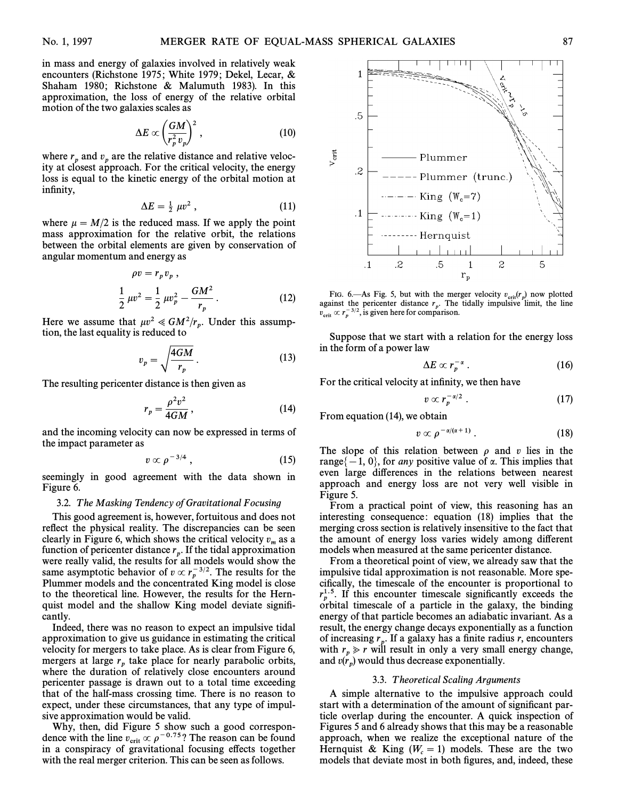in mass and energy of galaxies involved in relatively weak encounters (Richstone 1975; White 1979; Dekel, Lecar, & Shaham 1980; Richstone & Malumuth 1983). In this approximation, the loss of energy of the relative orbital motion of the two galaxies scales as<br> $\Delta E \propto \left(\frac{GM}{r^2}\right)$ 

$$
\Delta E \propto \left(\frac{GM}{r_p^2 v_p}\right)^2, \qquad (10)
$$

where  $r_p$  and  $v_p$  are the relative distance and relative veloc-<br>ity at closest approach. For the critical velocity, the energy ity at closest approach. For the critical velocity, the energy loss is equal to the kinetic energy of the orbital motion at infinity,

$$
\Delta E = \frac{1}{2} \ \mu v^2 \ , \tag{11}
$$

where  $\mu = M/2$  is the reduced mass. If we apply the point mass approximation for the relative orbit, the relations between the orbital elements are given by conservation of angular momentum and energy as

$$
\rho v = r_p v_p ,
$$
  
\n
$$
\frac{1}{2} \mu v^2 = \frac{1}{2} \mu v_p^2 - \frac{GM^2}{r_p} .
$$
 (12)

Here we assume that  $\mu v^2 \ll GM^2/r_p$ . Under this assumption the last equality is reduced to tion, the last equality is reduced to

$$
v_p = \sqrt{\frac{4GM}{r_p}}.
$$
 (13)

The resulting pericenter distance is then given as

$$
r_p = \frac{\rho^2 v^2}{4GM},\qquad(14)
$$

and the incoming velocity can now be expressed in terms of the impact parameter as

$$
v \propto \rho^{-3/4} \tag{15}
$$

seemingly in good agreement with the data shown in Figure 6.

# 3.2. T he Masking Tendency of Gravitational Focusing

This good agreement is, however, fortuitous and does not reflect the physical reality. The discrepancies can be seen clearly in Figure 6, which shows the critical velocity  $v_m$  as a function of pericenter distance  $r_n$ . If the tidal approximation were really valid, the results for all models would show the same asymptotic behavior of  $v \propto r_p^{-3/2}$ . The results for the Plummer models and the concentrated King model is close to the theoretical line. However, the results for the Hernquist model and the shallow King model deviate signiÐcantly.

Indeed, there was no reason to expect an impulsive tidal approximation to give us guidance in estimating the critical velocity for mergers to take place. As is clear from Figure 6, mergers at large  $r<sub>n</sub>$  take place for nearly parabolic orbits, where the duration of relatively close encounters around pericenter passage is drawn out to a total time exceeding that of the half-mass crossing time. There is no reason to expect, under these circumstances, that any type of impulsive approximation would be valid.

Why, then, did Figure 5 show such a good correspondence with the line  $v_{\text{crit}} \propto \rho^{-0.75}$ ? The reason can be found<br>in a conspiracy of gravitational focusing effects together in a conspiracy of gravitational focusing effects together with the real merger criterion. This can be seen as follows.



FIG. 6.—As Fig. 5, but with the merger velocity  $v_{\text{crit}}(r_p)$  now plotted Fig. 5, but with the series results in the line against the pericenter distance  $r_p$ . The tidally impulsive limit, the line region of  $r_p$ . The tidally impulsive limit, the line  $v_{\text{crit}} \propto r_p^{-3/2}$ , is given here for comparison.

Suppose that we start with a relation for the energy loss in the form of a power law

$$
\Delta E \propto r_p^{-\alpha} \ . \tag{16}
$$

For the critical velocity at infinity, we then have

$$
v \propto r_p^{-\alpha/2} \ . \tag{17}
$$

From equation  $(14)$ , we obtain

$$
v \propto \rho^{-\alpha/(\alpha+1)}\,. \tag{18}
$$

The slope of this relation between  $\rho$  and v lies in the range $\{-1, 0\}$ , for any positive value of  $\alpha$ . This implies that even large di†erences in the relations between nearest approach and energy loss are not very well visible in Figure 5.

From a practical point of view, this reasoning has an interesting consequence: equation  $(18)$  implies that the merging cross section is relatively insensitive to the fact that the amount of energy loss varies widely among different models when measured at the same pericenter distance.

From a theoretical point of view, we already saw that the impulsive tidal approximation is not reasonable. More specifically, the timescale of the encounter is proportional to  $r_p^{1.5}$ . If this encounter timescale significantly exceeds the polytopedia of a particle in the polytopedia binding orbital timescale of a particle in the galaxy, the binding energy of that particle becomes an adiabatic invariant. As a result, the energy change decays exponentially as a function of increasing  $r_p$ . If a galaxy has a finite radius r, encounters with  $r \ge r$  will result in only a very small energy change with  $r_n \gg r$  will result in only a very small energy change, when  $r_p > r$  with result in only a very simulated and  $v(r_p)$  would thus decrease exponentially.

#### 3.3. T heoretical Scaling Arguments

A simple alternative to the impulsive approach could start with a determination of the amount of significant particle overlap during the encounter. A quick inspection of Figures 5 and 6 already shows that this may be a reasonable approach, when we realize the exceptional nature of the Hernquist & King  $(W_c = 1)$  models. These are the two models that deviate most in both figures and indeed these models that deviate most in both figures, and, indeed, these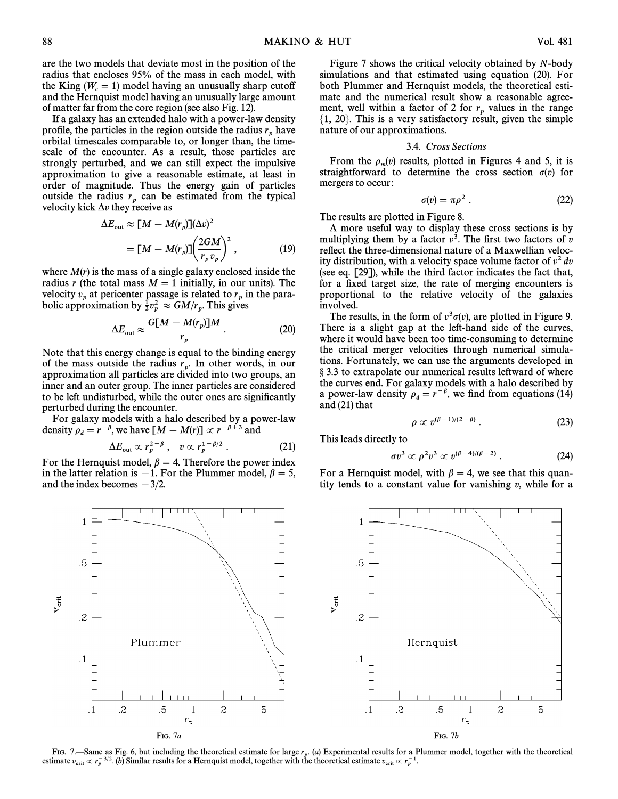are the two models that deviate most in the position of the radius that encloses 95% of the mass in each model, with the King  $(W_c = 1)$  model having an unusually sharp cutoff<br>and the Hernquist model having an unusually large amount and the Hernquist model having an unusually large amount of matter far from the core region (see also Fig. 12).

If a galaxy has an extended halo with a power-law density profile, the particles in the region outside the radius  $r_p$  have <sup>p</sup> orbital timescales comparable to, or longer than, the timescale of the encounter. As a result, those particles are strongly perturbed, and we can still expect the impulsive approximation to give a reasonable estimate, at least in order of magnitude. Thus the energy gain of particles outside the radius  $r_p$  can be estimated from the typical velocity kick  $\Delta v$  they receive as

$$
\Delta E_{\text{out}} \approx [M - M(r_p)](\Delta v)^2
$$
  
= 
$$
[M - M(r_p)] \left(\frac{2GM}{r_p v_p}\right)^2,
$$
 (19)

where  $M(r)$  is the mass of a single galaxy enclosed inside the radius r (the total mass  $M = 1$  initially, in our units). The velocity  $v_p$  at pericenter passage is related to  $r_p$  in the para-<br>bolic approximation by  $\frac{1}{2}r^2 \sim GM/r$ . This gives bolic approximation by  $\frac{1}{2}v_p^2 \approx GM/r_p$ . This gives

$$
\Delta E_{\rm out} \approx \frac{G[M - M(r_p)]M}{r_p} \,. \tag{20}
$$

Note that this energy change is equal to the binding energy of the mass outside the radius  $r_p$ . In other words, in our proximation all particles are divided into two groups, and approximation all particles are divided into two groups, and inner and an outer group. The inner particles are considered to be left undisturbed, while the outer ones are significantly perturbed during the encounter.

For galaxy models with a halo described by a power-law density  $\rho_d = r^{-\beta}$ , we have  $[M - M(r)] \propto r^{-\beta+3}$  and

$$
\Delta E_{\rm out} \propto r_p^{2-\beta} \ , \quad v \propto r_p^{1-\beta/2} \ . \tag{21}
$$

For the Hernquist model,  $\beta = 4$ . Therefore the power index in the latter relation is  $-1$ . For the Plummer model,  $\beta = 5$ , and the index becomes  $-3/2$ .

Figure 7 shows the critical velocity obtained by N-body simulations and that estimated using equation  $(20)$ . For both Plummer and Hernquist models, the theoretical estimate and the numerical result show a reasonable agreement, well within a factor of 2 for  $r_p$  values in the range  $\{1, 20\}$ . This is a very satisfactory result, given the simple nature of our approximations.

#### 3.4. Cross Sections

From the  $\rho_m(v)$  results, plotted in Figures 4 and 5, it is straightforward to determine the cross section  $\sigma(v)$  for mergers to occur:

$$
\sigma(v) = \pi \rho^2 \ . \tag{22}
$$

The results are plotted in Figure 8.

A more useful way to display these cross sections is by multiplying them by a factor  $v^3$ . The first two factors of v reflect the three-dimensional nature of a Maxwellian velocity distribution, with a velocity space volume factor of  $v^2 dv$ (see eq.  $[29]$ ), while the third factor indicates the fact that, for a fixed target size, the rate of merging encounters is proportional to the relative velocity of the galaxies involved.

The results, in the form of  $v^3\sigma(v)$ , are plotted in Figure 9. There is a slight gap at the left-hand side of the curves, where it would have been too time-consuming to determine the critical merger velocities through numerical simulations. Fortunately, we can use the arguments developed in § 3.3 to extrapolate our numerical results leftward of where the curves end. For galaxy models with a halo described by a power-law density  $\rho_d = r^{-\beta}$ , we find from equations (14) and  $(21)$  that

$$
\rho \propto v^{(\beta - 1)/(2 - \beta)} \ . \tag{23}
$$

This leads directly to

$$
\sigma v^3 \propto \rho^2 v^3 \propto v^{(\beta - 4)/(\beta - 2)} \ . \tag{24}
$$

For a Hernquist model, with  $\beta = 4$ , we see that this quantity tends to a constant value for vanishing  $v$ , while for a



FIG. 7.—Same as Fig. 6, but including the theoretical estimate for large  $r_p$ . (a) Experimental results for a Plummer model, together with the theoretical proton  $r = 3/2$ . (b) Similar results for a Hernquist model, togeth estimate  $v_{\rm crit} \propto r_p^{-3/2}$ . (b) Similar results for a Hernquist model, together with the theoretical estimate  $v_{\rm crit} \propto r_p^{-1}$ .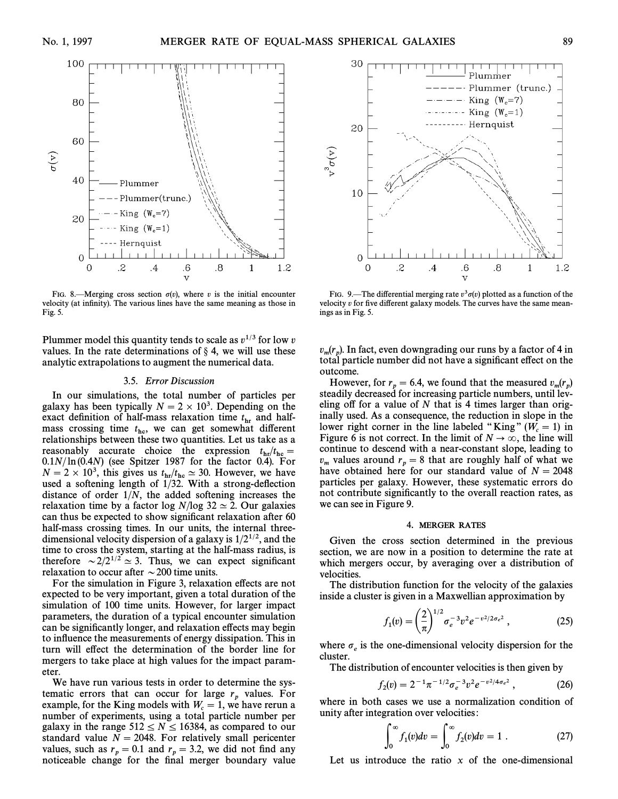

FIG. 8.—Merging cross section  $\sigma(v)$ , where v is the initial encounter velocity (at infinity). The various lines have the same meaning as those in Fig. 5.

Plummer model this quantity tends to scale as  $v^{1/3}$  for low v values. In the rate determinations of  $\delta$  4, we will use these analytic extrapolations to augment the numerical data.

### 3.5. Error Discussion

In our simulations, the total number of particles per galaxy has been typically  $N = 2 \times 10^3$ . Depending on the exact definition of half-mass relaxation time  $t<sub>hr</sub>$  and halfmass crossing time  $t_{\text{hc}}$ , we can get somewhat different<br>relationships hetween these two quantities I et us take as a relationships between these two quantities. Let us take as a reasonably accurate choice the expression  $t_{\text{hr}}/t_{\text{hc}} =$ <br>0.1 N/ln (0.4 N) (see Spitzer 1987 for the factor 0.4) For  $0.1N/\ln(0.4N)$  (see Spitzer 1987 for the factor 0.4). For  $N = 2 \times 10^3$ , this gives us  $t_{\rm hr}/t_{\rm hc} \simeq 30$ . However, we have used a softening length of 1/32. With a strong-deflection distance of order  $1/N$ , the added softening increases the relaxation time by a factor log  $N/\log 32 \simeq 2$ . Our galaxies can thus be expected to show significant relaxation after 60 half-mass crossing times. In our units, the internal threedimensional velocity dispersion of a galaxy is  $1/2^{1/2}$ , and the time to cross the system, starting at the half-mass radius, is therefore  $\sim 2/2^{1/2} \simeq 3$ . Thus, we can expect significant relaxation to occur after  $\sim$  200 time units.

For the simulation in Figure 3, relaxation effects are not expected to be very important, given a total duration of the simulation of 100 time units. However, for larger impact parameters, the duration of a typical encounter simulation can be significantly longer, and relaxation effects may begin to inÑuence the measurements of energy dissipation. This in turn will effect the determination of the border line for mergers to take place at high values for the impact parameter.

We have run various tests in order to determine the systematic errors that can occur for large  $r_n$  values. For p example, for the King models with  $W_c = 1$ , we have rerun a<br>number of experiments using a total particle number per number of experiments, using a total particle number per galaxy in the range  $512 \le N \le 16384$ , as compared to our standard value  $N = 2048$ . For relatively small pericenter values, such as  $r_p = 0.1$  and  $r_p = 3.2$ , we did not find any values, such as  $r_p = 0.1$  and  $r_p = 5.2$ , we did not find any noticeable change for the final merger boundary value



FIG. 9.—The differential merging rate  $v^3\sigma(v)$  plotted as a function of the velocity  $v$  for five different galaxy models. The curves have the same meanings as in Fig. 5.

 $v_m(r_p)$ . In fact, even downgrading our runs by a factor of 4 in the total particle number did not have a significant effect on the  $p_m(r_p)$ . In fact, over downgrading our rans by a factor of  $\overline{r}$  in total particle number did not have a significant effect on the outcome.

However, for  $r_p = 6.4$ , we found that the measured  $v_m(r_p)$ steadily decreased for increasing particle numbers, until leveling off for a value of  $N$  that is 4 times larger than originally used. As a consequence, the reduction in slope in the lower right corner in the line labeled "King"  $(W_c = 1)$  in Figure 6 is not correct. In the limit of  $N \rightarrow \infty$ , the line will Figure 6 is not correct. In the limit of  $N \to \infty$ , the line will continue to descend with a near-constant slope, leading to  $v_m$  values around  $r_p = 8$  that are roughly half of what we have obtained here for our standard value of  $N = 2048$  $p_m^m$  values dround  $r_p$  –  $\sigma$  that the roughly half of  $N = 2048$ particles per galaxy. However, these systematic errors do not contribute significantly to the overall reaction rates, as we can see in Figure 9.

#### 4. MERGER RATES

Given the cross section determined in the previous section, we are now in a position to determine the rate at which mergers occur, by averaging over a distribution of velocities.

The distribution function for the velocity of the galaxies

inside a cluster is given in a Maxwellian approximation by  

$$
f_1(v) = \left(\frac{2}{\pi}\right)^{1/2} \sigma_e^{-3} v^2 e^{-v^2/2\sigma_e^2},
$$
(25)

where  $\sigma_e$  is the one-dimensional velocity dispersion for the cluster.

The distribution of encounter velocities is then given by

$$
f_2(v) = 2^{-1} \pi^{-1/2} \sigma_e^{-3} v^2 e^{-v^2/4 \sigma_e^2} \,, \tag{26}
$$

where in both cases we use a normalization condition of

unity after integration over velocities:  
\n
$$
\int_0^\infty f_1(v)dv = \int_0^\infty f_2(v)dv = 1.
$$
\n(27)

Let us introduce the ratio  $x$  of the one-dimensional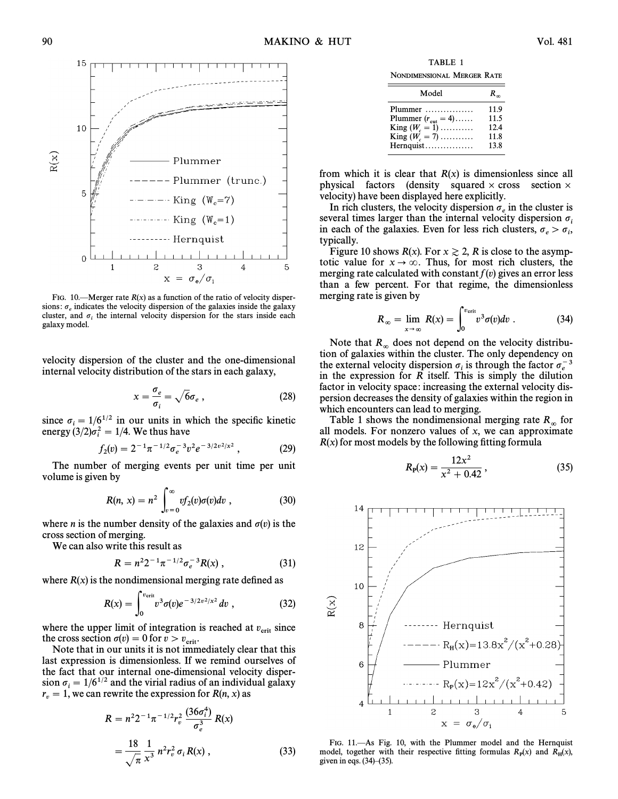

FIG. 10.—Merger rate  $R(x)$  as a function of the ratio of velocity dispersions:  $\sigma_{\rho}$  indicates the velocity dispersion of the galaxies inside the galaxy cluster, and  $\sigma_i$  the internal velocity dispersion for the stars inside each galaxy model.

velocity dispersion of the cluster and the one-dimensional internal velocity distribution of the stars in each galaxy,

$$
x = \frac{\sigma_e}{\sigma_i} = \sqrt{6}\sigma_e \,,\tag{28}
$$

since  $\sigma_i = 1/6^{1/2}$  in our units in which the specific kinetic energy  $(3/2)\sigma_i^2 = 1/4$ . We thus have

$$
f_2(v) = 2^{-1} \pi^{-1/2} \sigma_e^{-3} v^2 e^{-3/2v^2/x^2} , \qquad (29)
$$

The number of merging events per unit time per unit volume is given by

$$
R(n, x) = n2 \int_{v=0}^{\infty} vf_2(v) \sigma(v) dv , \qquad (30)
$$

where *n* is the number density of the galaxies and  $\sigma(v)$  is the cross section of merging.

We can also write this result as

$$
R = n^2 2^{-1} \pi^{-1/2} \sigma_e^{-3} R(x) , \qquad (31)
$$

where 
$$
R(x)
$$
 is the nondimensional merging rate defined as  

$$
R(x) = \int_0^{v_{\text{crit}}} v^3 \sigma(v) e^{-3/2v^2/x^2} dv , \qquad (32)
$$

where the upper limit of integration is reached at  $v_{\text{crit}}$  since the cross section  $\sigma(v) = 0$  for  $v > v$ the cross section  $\sigma(v) = 0$  for  $v > v_{\text{crit}}$ .<br>Note that in our units it is not imm

Note that in our units it is not immediately clear that this last expression is dimensionless. If we remind ourselves of the fact that our internal one-dimensional velocity dispersion  $\sigma_i = 1/6^{1/2}$  and the virial radius of an individual galaxy  $r_v = 1$ , we can rewrite the expression for  $R(n, x)$  as

$$
R = n^2 2^{-1} \pi^{-1/2} r_v^2 \frac{(36\sigma_v^4)}{\sigma_e^3} R(x)
$$
  
= 
$$
\frac{18}{\sqrt{\pi}} \frac{1}{x^3} n^2 r_v^2 \sigma_i R(x) ,
$$
 (33)

TABLE 1 NONDIMENSIONAL MERGER RATE

| Model                          | $R_{\infty}$ |
|--------------------------------|--------------|
| Plummer                        | 11.9         |
| Plummer $(r_{\text{cut}} = 4)$ | 11.5         |
| King $(W_c = 1)$               | 12.4         |
| King $(W_c = 7)$               | 11.8         |
| Hernquist                      | 13.8         |

from which it is clear that  $R(x)$  is dimensionless since all physical factors (density squared  $\times$  cross section  $\times$ velocity) have been displayed here explicitly.

In rich clusters, the velocity dispersion  $\sigma_e$  in the cluster is several times larger than the internal velocity dispersion  $\sigma_i$ in each of the galaxies. Even for less rich clusters,  $\sigma_e > \sigma_i$ ,<br>typically typically.

Figure 10 shows  $R(x)$ . For  $x \ge 2$ , R is close to the asymptotic value for  $x \to \infty$ . Thus, for most rich clusters, the merging rate calculated with constant  $f(v)$  gives an error less than a few percent. For that regime, the dimensionless merging rate is given by

is given by  
\n
$$
R_{\infty} = \lim_{x \to \infty} R(x) = \int_0^{v_{\text{crit}}} v^3 \sigma(v) dv.
$$
\n(34)

Note that  $R_{\infty}$  does not depend on the velocity distribution of galaxies within the cluster. The only dependency on the external velocity dispersion  $\sigma_i$  is through the factor  $\sigma_e^{-3}$ <br>in the expression for **P** itself. This is simply the dilution in the expression for R itself. This is simply the dilution factor in velocity space: increasing the external velocity dispersion decreases the density of galaxies within the region in which encounters can lead to merging.

Table 1 shows the nondimensional merging rate  $R_{\infty}$  for all models. For nonzero values of x, we can approximate  $R(x)$  for most models by the following fitting formula

$$
R_{\mathbf{p}}(x) = \frac{12x^2}{x^2 + 0.42},\tag{35}
$$



FIG. 11.-As Fig. 10, with the Plummer model and the Hernquist model, together with their respective fitting formulas  $R<sub>P</sub>(x)$  and  $R<sub>H</sub>(x)$ , given in eqs. (34) (35) given in eqs.  $(34)$ – $(35)$ .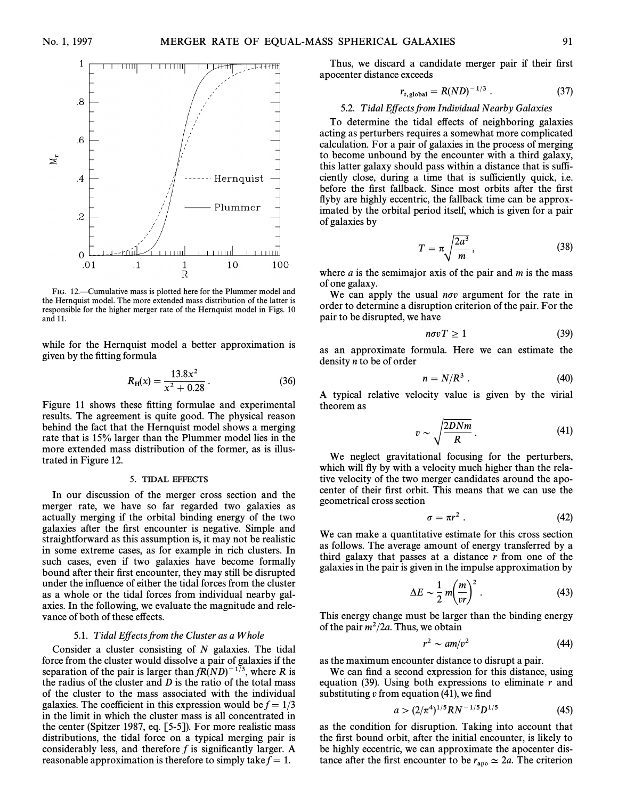

FIG. 12.—Cumulative mass is plotted here for the Plummer model and the Hernquist model. The more extended mass distribution of the latter is responsible for the higher merger rate of the Hernquist model in Figs. 10 and 11.

while for the Hernquist model a better approximation is given by the fitting formula

$$
R_{\rm H}(x) = \frac{13.8x^2}{x^2 + 0.28} \,. \tag{36}
$$

Figure 11 shows these fitting formulae and experimental results. The agreement is quite good. The physical reason behind the fact that the Hernquist model shows a merging rate that is 15% larger than the Plummer model lies in the more extended mass distribution of the former, as is illustrated in Figure 12.

## 5. TIDAL EFFECTS

In our discussion of the merger cross section and the merger rate, we have so far regarded two galaxies as actually merging if the orbital binding energy of the two galaxies after the first encounter is negative. Simple and straightforward as this assumption is, it may not be realistic in some extreme cases, as for example in rich clusters. In such cases, even if two galaxies have become formally bound after their first encounter, they may still be disrupted under the inÑuence of either the tidal forces from the cluster as a whole or the tidal forces from individual nearby galaxies. In the following, we evaluate the magnitude and relevance of both of these effects.

## 5.1. Tidal Effects from the Cluster as a Whole

Consider a cluster consisting of  $N$  galaxies. The tidal force from the cluster would dissolve a pair of galaxies if the separation of the pair is larger than  $fR(ND)^{-1/3}$ , where R is the radius of the cluster and  $D$  is the ratio of the total mass of the cluster to the mass associated with the individual galaxies. The coefficient in this expression would be  $f = \frac{1}{3}$ in the limit in which the cluster mass is all concentrated in the center (Spitzer 1987, eq.  $[5-5]$ ). For more realistic mass distributions, the tidal force on a typical merging pair is considerably less, and therefore  $f$  is significantly larger. A reasonable approximation is therefore to simply take  $\bar{f} = 1$ .

Thus, we discard a candidate merger pair if their first apocenter distance exceeds

$$
r_{t, \text{global}} = R(ND)^{-1/3} . \tag{37}
$$

# 5.2. Tidal Effects from Individual Nearby Galaxies

To determine the tidal effects of neighboring galaxies acting as perturbers requires a somewhat more complicated calculation. For a pair of galaxies in the process of merging to become unbound by the encounter with a third galaxy, this latter galaxy should pass within a distance that is sufficiently close, during a time that is sufficiently quick, i.e. before the first fallback. Since most orbits after the first flyby are highly eccentric, the fallback time can be approximated by the orbital period itself, which is given for a pair of galaxies by

$$
T = \pi \sqrt{\frac{2a^3}{m}},
$$
\n(38)

where  $a$  is the semimajor axis of the pair and  $m$  is the mass of one galaxy.

We can apply the usual  $n\sigma v$  argument for the rate in order to determine a disruption criterion of the pair. For the pair to be disrupted, we have

$$
n\sigma vT \ge 1\tag{39}
$$

as an approximate formula. Here we can estimate the density  $n$  to be of order

$$
n = N/R^3 \tag{40}
$$

A typical relative velocity value is given by the virial theorem as

$$
v \sim \sqrt{\frac{2DNm}{R}}\,. \tag{41}
$$

We neglect gravitational focusing for the perturbers, which will fly by with a velocity much higher than the relative velocity of the two merger candidates around the apocenter of their first orbit. This means that we can use the geometrical cross section

$$
\sigma = \pi r^2 \ . \tag{42}
$$

We can make a quantitative estimate for this cross section as follows. The average amount of energy transferred by a third galaxy that passes at a distance  $r$  from one of the

galaxies in the pair is given in the impulse approximation by  
\n
$$
\Delta E \sim \frac{1}{2} m \left(\frac{m}{vr}\right)^2.
$$
\n(43)

This energy change must be larger than the binding energy of the pair  $m^2/2a$ . Thus, we obtain

$$
r^2 \sim a m/v^2 \tag{44}
$$

as the maximum encounter distance to disrupt a pair.

We can find a second expression for this distance, using equation (39). Using both expressions to eliminate  $r$  and substituting  $v$  from equation (41), we find

$$
a > (2/\pi^4)^{1/5}RN^{-1/5}D^{1/5}
$$
 (45)

as the condition for disruption. Taking into account that the first bound orbit, after the initial encounter, is likely to be highly eccentric, we can approximate the apocenter distance after the first encounter to be  $r_{\text{apo}} \simeq 2a$ . The criterion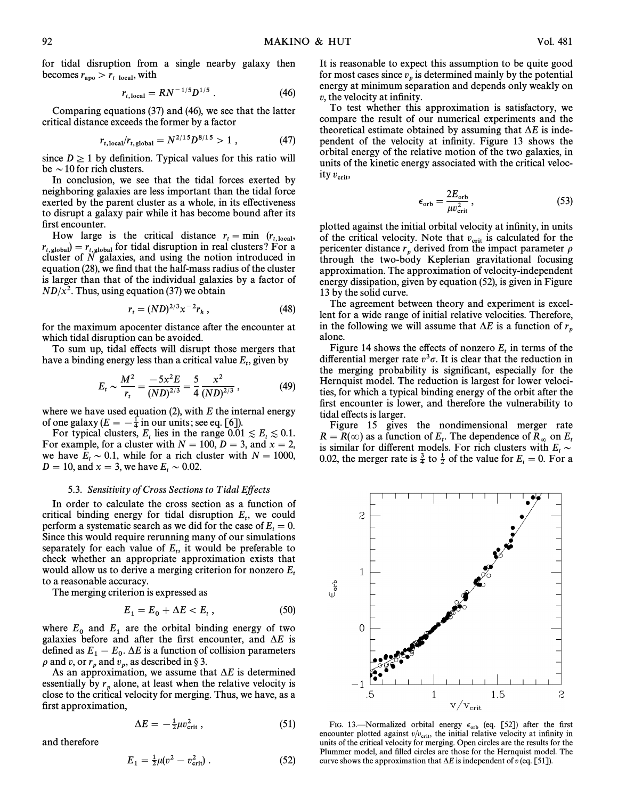for tidal disruption from a single nearby galaxy then becomes  $r_{\rm apo} > r_{\rm t~local}$ , with

$$
r_{t,\text{local}} = RN^{-1/5}D^{1/5} \ . \tag{46}
$$

Comparing equations  $(37)$  and  $(46)$ , we see that the latter critical distance exceeds the former by a factor

$$
r_{t,\text{local}}/r_{t,\text{global}} = N^{2/15} D^{8/15} > 1 , \qquad (47)
$$

since  $D \ge 1$  by definition. Typical values for this ratio will be  $\sim$  10 for rich clusters.

In conclusion, we see that the tidal forces exerted by neighboring galaxies are less important than the tidal force exerted by the parent cluster as a whole, in its effectiveness to disrupt a galaxy pair while it has become bound after its first encounter.

How large is the critical distance  $r_t = \min (r_{t,\text{local}})$ <br>  $r_{\text{ref}} = \frac{r_{t,\text{local}}}{r_{\text{total}}}$ r for tidal disruption in real clusters? For a<br>
clusters? For a distruction in real clusters? For a<br>
cluster of N calaxies and using the notion introduced in cluster of  $N$  galaxies, and using the notion introduced in equation (28), we find that the half-mass radius of the cluster is larger than that of the individual galaxies by a factor of  $ND/x^2$ . Thus, using equation (37) we obtain

$$
r_t = (ND)^{2/3} x^{-2} r_h , \qquad (48)
$$

for the maximum apocenter distance after the encounter at which tidal disruption can be avoided.

To sum up, tidal effects will disrupt those mergers that have a binding energy less than a critical value  $E_t$ , given by

$$
E_t \sim \frac{M^2}{r_t} = \frac{-5x^2E}{(ND)^{2/3}} = \frac{5}{4} \frac{x^2}{(ND)^{2/3}},
$$
 (49)

where we have used equation (2), with  $E$  the internal energy of one galaxy  $(E = -\frac{1}{4}$  in our units; see eq. [6]).<br>For typical clusters, E, lies in the range 0.01

For typical clusters,  $E_t$  lies in the range  $0.01 \le E_t \le 0.1$ .<br>For example for a cluster with  $N = 100$ ,  $D = 3$ , and  $x = 2$ . For example, for a cluster with  $N = 100, D = 3$ , and  $x = 2$ , we have  $E_t \sim 0.1$ , while for a rich cluster with  $N = 1000$ ,<br> $D = 10$  and  $x = 3$  we have  $E \sim 0.02$  $D = 10$ , and  $x = 3$ , we have  $E_t \sim 0.02$ .

### 5.3. Sensitivity of Cross Sections to Tidal Effects

In order to calculate the cross section as a function of critical binding energy for tidal disruption  $E_t$ , we could neglect the case of  $E = 0$ . perform a systematic search as we did for the case of  $E_t = 0$ .<br>Since this would require returning many of our simulations Since this would require rerunning many of our simulations separately for each value of  $E_t$ , it would be preferable to  $E_t$  whether an appropriate approximation exists that check whether an appropriate approximation exists that would allow us to derive a merging criterion for nonzero  $E_t$  to a reasonable accuracy.

The merging criterion is expressed as

$$
E_1 = E_0 + \Delta E < E_t \,, \tag{50}
$$

where  $E_0$  and  $E_1$  are the orbital binding energy of two galaxies before and after the first encounter, and  $\Delta E$  is defined as  $E_1 - E_0$ .  $\Delta E$  is a function of collision parameters a and n or n and n as described in 8.3.  $\rho$  and v, or  $r_p$  and  $v_p$ , as described in § 3.

As an approximation, we assume that  $\Delta E$  is determined essentially by  $r_p$  alone, at least when the relative velocity is close to the critical velocity for merging. Thus, we have, as a first approximation,

$$
\Delta E = -\frac{1}{2}\mu v_{\rm crit}^2 \,, \tag{51}
$$

and therefore

$$
E_1 = \frac{1}{2}\mu(v^2 - v_{\rm crit}^2) \,. \tag{52}
$$

It is reasonable to expect this assumption to be quite good for most cases since  $v_p$  is determined mainly by the potential <sup>p</sup> energy at minimum separation and depends only weakly on  $v$ , the velocity at infinity.

To test whether this approximation is satisfactory, we compare the result of our numerical experiments and the theoretical estimate obtained by assuming that  $\Delta E$  is independent of the velocity at infinity. Figure 13 shows the orbital energy of the relative motion of the two galaxies, in units of the kinetic energy associated with the critical velocity  $v_{\rm crit}$ ,

$$
\epsilon_{\rm orb} = \frac{2E_{\rm orb}}{\mu v_{\rm crit}^2},\tag{53}
$$

plotted against the initial orbital velocity at infinity, in units of the critical velocity. Note that  $v_{\text{crit}}$  is calculated for the pericenter distance  $r_p$  derived from the impact parameter  $\rho$  through the two-body Keplerian gravitational focusing approximation. The approximation of velocity-independent energy dissipation, given by equation  $(52)$ , is given in Figure 13 by the solid curve.

The agreement between theory and experiment is excellent for a wide range of initial relative velocities. Therefore, in the following we will assume that  $\Delta E$  is a function of  $r_p$  alone.

Figure 14 shows the effects of nonzero  $E_t$  in terms of the differential merger rate  $v^3\sigma$ . It is clear that the reduction in the merging probability is significant, especially for the Hernquist model. The reduction is largest for lower velocities, for which a typical binding energy of the orbit after the first encounter is lower, and therefore the vulnerability to tidal effects is larger.

Figure 15 gives the nondimensional merger rate  $R = R(\infty)$  as a function of  $E_t$ . The dependence of  $R_\infty$  on  $E_t$ <br>is similar for different models. For rich clusters with  $E_t \sim 0.02$  the metage rate is  $\frac{3}{2}$  to  $\frac{1}{2}$  of the value for  $F_t = 0$ . For a is similar for different models. For rich clusters with  $E_t \sim$ 0.02, the merger rate is  $\frac{3}{4}$  to  $\frac{1}{2}$  of the value for  $E_t = 0$ . For a

FIG. 13.—Normalized orbital energy  $\epsilon_{orb}$  (eq. [52]) after the first encounter plotted against  $v/v_{crit}$ , the initial relative velocity at infinity in units of the critical velocity for merging. Open circles are the result units of the critical velocity for merging. Open circles are the results for the Plummer model, and filled circles are those for the Hernquist model. The curve shows the approximation that  $\Delta E$  is independent of v (eq. [51]).

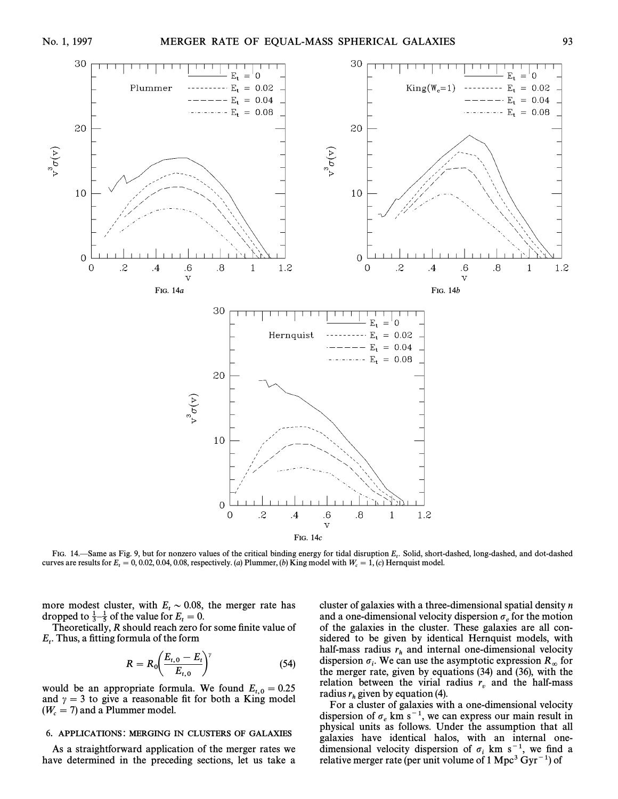

FIG. 14.—Same as Fig. 9, but for nonzero values of the critical binding energy for tidal disruption  $E_t$ . Solid, short-dashed, long-dashed, and dot-dashed Fig. 9, Dut for  $E = 0.002, 0.04, 0.08$  respectively (a) Plymmer (b curves are results for  $E_t = 0, 0.02, 0.04, 0.08$ , respectively. (a) Plummer, (b) King model with  $W_c = 1$ , (c) Hernquist model.

more modest cluster, with  $E_t \sim 0.08$ , the merger rate has dropped to  $\frac{1}{2}$  of the value for  $F = 0$ . dropped to  $\frac{1}{3} - \frac{1}{5}$  of the value for  $E_t = 0$ .<br>Theoretically, *B* should reach zero for

Theoretically, R should reach zero for some finite value of  $E_t$ . Thus, a fitting formula of the form

$$
R = R_0 \left( \frac{E_{t,0} - E_t}{E_{t,0}} \right)^{\gamma}
$$
 (54)

would be an appropriate formula. We found  $E_{t,0} = 0.25$ and  $\gamma = 3$  to give a reasonable fit for both a King model  $(W_c = 7)$  and a Plummer model.

# 6. APPLICATIONS: MERGING IN CLUSTERS OF GALAXIES

As a straightforward application of the merger rates we have determined in the preceding sections, let us take a

cluster of galaxies with a three-dimensional spatial density  $n$ and a one-dimensional velocity dispersion  $\sigma_e$  for the motion <sup>e</sup> of the galaxies in the cluster. These galaxies are all considered to be given by identical Hernquist models, with half-mass radius  $r<sub>h</sub>$  and internal one-dimensional velocity dispersion  $\sigma_i$ . We can use the asymptotic expression  $R_{\infty}$  for dispersion  $\sigma_i$ . We can use the asymptotic expression  $R_{\infty}$  for the merger rate, given by equations (34) and (36), with the relation between the virial radius  $r<sub>v</sub>$  and the half-mass radius  $r_h$  given by equation (4).<br>For a cluster of coloring with a one

For a cluster of galaxies with a one-dimensional velocity dispersion of  $\sigma_e$  km s<sup>-1</sup>, we can express our main result in physical units as follows. Under the assumption that all galaxies have identical halos, with an internal one-<br>dimensional velocity dispersion of  $\sigma_i$  km s<sup>-1</sup>, we find a relative merger rate (per unit volume of 1 Mpc<sup>3</sup> Gyr<sup>-1</sup>) of